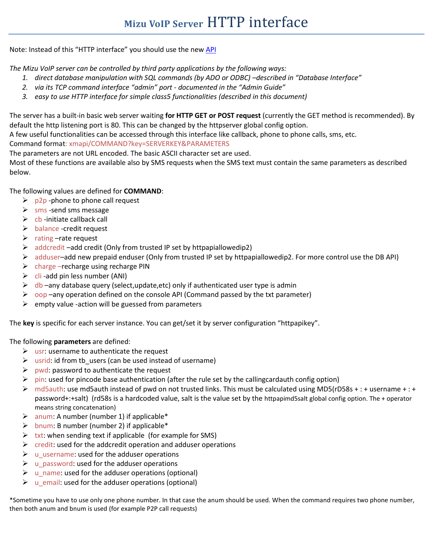Note: Instead of this "HTTP interface" you should use the new [API](http://www.mizu-voip.com/Portals/0/Files/Softphone_API.pdf)

*The Mizu VoIP server can be controlled by third party applications by the following ways:*

- *1. direct database manipulation with SQL commands (by ADO or ODBC) –described in "Database Interface"*
- *2. via its TCP command interface "admin" port - documented in the "Admin Guide"*
- *3. easy to use HTTP interface for simple class5 functionalities (described in this document)*

The server has a built-in basic web server waiting **for HTTP GET or POST request** (currently the GET method is recommended). By default the http listening port is 80. This can be changed by the httpserver global config option.

A few useful functionalities can be accessed through this interface like callback, phone to phone calls, sms, etc.

Command format: xmapi/COMMAND?key=SERVERKEY&PARAMETERS

The parameters are not URL encoded. The basic ASCII character set are used.

Most of these functions are available also by SMS requests when the SMS text must contain the same parameters as described below.

The following values are defined for **COMMAND**:

- $\triangleright$  p2p -phone to phone call request
- $\triangleright$  sms -send sms message
- $\triangleright$  cb -initiate callback call
- $\triangleright$  balance -credit request
- $\triangleright$  rating –rate request
- $\triangleright$  addcredit –add credit (Only from trusted IP set by httpapiallowedip2)
- $\triangleright$  adduser–add new prepaid enduser (Only from trusted IP set by httpapiallowedip2. For more control use the DB API)
- $\triangleright$  charge –recharge using recharge PIN
- $\triangleright$  cli -add pin less number (ANI)
- $\triangleright$  db –any database query (select, update, etc) only if authenticated user type is admin
- $\triangleright$  oop –any operation defined on the console API (Command passed by the txt parameter)
- $\triangleright$  empty value -action will be guessed from parameters

The **key** is specific for each server instance. You can get/set it by server configuration "httpapikey".

The following **parameters** are defined:

- $\triangleright$  usr: username to authenticate the request
- $\triangleright$  usrid: id from tb users (can be used instead of username)
- $\triangleright$  pwd: password to authenticate the request
- $\triangleright$  pin: used for pincode base authentication (after the rule set by the callingcardauth config option)
- md5auth: use md5auth instead of pwd on not trusted links. This must be calculated using MD5(rD58s + : + username + : + password+:+salt) (rd58s is a hardcoded value, salt is the value set by the httpapimd5salt global config option. The + operator means string concatenation)
- $\triangleright$  anum: A number (number 1) if applicable\*
- $\triangleright$  bnum: B number (number 2) if applicable\*
- $\triangleright$  txt: when sending text if applicable (for example for SMS)
- $\triangleright$  credit: used for the addcredit operation and adduser operations
- $\triangleright$  u username: used for the adduser operations
- $\triangleright$  u password: used for the adduser operations
- $\triangleright$  u\_name: used for the adduser operations (optional)
- $\triangleright$  u email: used for the adduser operations (optional)

\*Sometime you have to use only one phone number. In that case the anum should be used. When the command requires two phone number, then both anum and bnum is used (for example P2P call requests)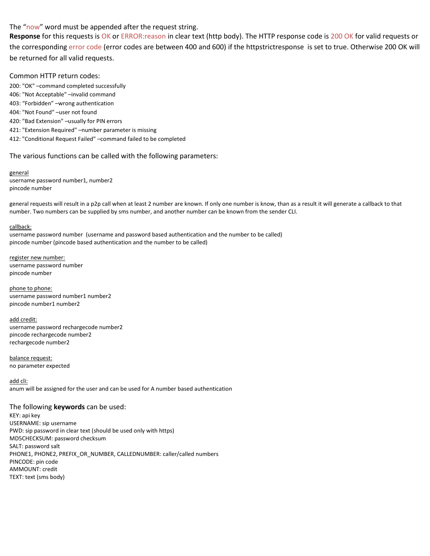## The "now" word must be appended after the request string.

**Response** for this requests is OK or ERROR:reason in clear text (http body). The HTTP response code is 200 OK for valid requests or the corresponding error code (error codes are between 400 and 600) if the httpstrictresponse is set to true. Otherwise 200 OK will be returned for all valid requests.

### Common HTTP return codes:

200: "OK" –command completed successfully 406: "Not Acceptable" –invalid command 403: "Forbidden" –wrong authentication 404: "Not Found" –user not found 420: "Bad Extension" –usually for PIN errors 421: "Extension Required" –number parameter is missing 412: "Conditional Request Failed" –command failed to be completed

### The various functions can be called with the following parameters:

general username password number1, number2 pincode number

general requests will result in a p2p call when at least 2 number are known. If only one number is know, than as a result it will generate a callback to that number. Two numbers can be supplied by sms number, and another number can be known from the sender CLI.

#### callback:

username password number (username and password based authentication and the number to be called) pincode number (pincode based authentication and the number to be called)

register new number: username password number pincode number

phone to phone: username password number1 number2 pincode number1 number2

add credit: username password rechargecode number2 pincode rechargecode number2 rechargecode number2

balance request: no parameter expected

add cli: anum will be assigned for the user and can be used for A number based authentication

#### The following **keywords** can be used:

KEY: api key USERNAME: sip username PWD: sip password in clear text (should be used only with https) MD5CHECKSUM: password checksum SALT: password salt PHONE1, PHONE2, PREFIX\_OR\_NUMBER, CALLEDNUMBER: caller/called numbers PINCODE: pin code AMMOUNT: credit TEXT: text (sms body)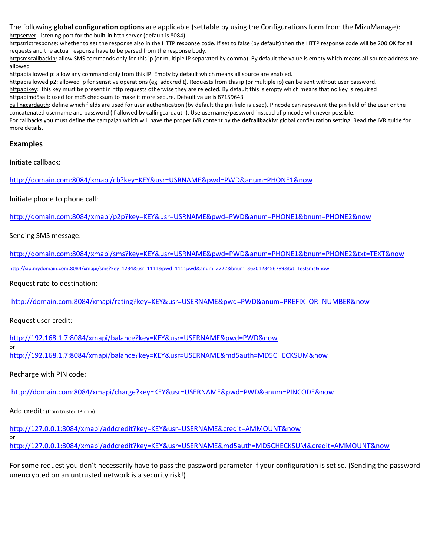# The following **global configuration options** are applicable (settable by using the Configurations form from the MizuManage):

httpserver: listening port for the built-in http server (default is 8084)

httpstrictresponse: whether to set the response also in the HTTP response code. If set to false (by default) then the HTTP response code will be 200 OK for all requests and the actual response have to be parsed from the response body.

httpsmscallbackip: allow SMS commands only for this ip (or multiple IP separated by comma). By default the value is empty which means all source address are allowed

httpapiallowedip: allow any command only from this IP. Empty by default which means all source are enabled.

httpapiallowedip2: allowed ip for sensitive operations (eg. addcredit). Requests from this ip (or multiple ip) can be sent without user password. httpapikey: this key must be present in http requests otherwise they are rejected. By default this is empty which means that no key is required httpapimd5salt: used for md5 checksum to make it more secure. Default value is 87159643

callingcardauth: define which fields are used for user authentication (by default the pin field is used). Pincode can represent the pin field of the user or the concatenated username and password (if allowed by callingcardauth). Use username/password instead of pincode whenever possible.

For callbacks you must define the campaign which will have the proper IVR content by the **defcallbackivr** global configuration setting. Read the IVR guide for more details.

## **Examples**

Initiate callback:

[http://domain.com:8084/xmapi/cb?key=KEY&usr=USRNAME&pwd=PWD&anum=PHONE1&now](http://domain.com:8084/xjava/cb?key=KEY&usr=USRNAME&pwd=PWD&anum=PHONE1&now)

Initiate phone to phone call:

[http://domain.com:8084/xmapi/p2p?key=KEY&usr=USRNAME&pwd=PWD&anum=PHONE1&bnum=PHONE2&now](http://domain.com:8084/xjava/p2p?key=KEY&usr=USRNAME&pwd=PWD&anum=PHONE1&bnum=PHONE2&now)

Sending SMS message:

<http://domain.com:8084/xmapi/sms?key=KEY&usr=USRNAME&pwd=PWD&anum=PHONE1&bnum=PHONE2&txt=TEXT&now>

[http://sip.mydomain.com:8084/xmapi/sms?key=1234&usr=1111&pwd=1111pwd&anum=2222&bnum=3630123456789&txt=Testsms&now](http://sip.mydomain.com:8084/xjava/sms?key=1234&usr=1111&pwd=1111pwd&anum=2222&bnum=3630123456789&txt=Testsms&now)

Request rate to destination:

[http://domain.com:8084/xmapi/rating?key=KEY&usr=USERNAME&pwd=PWD&anum=PREFIX\\_OR\\_NUMBER&now](http://192.168.1.7:8084/xmapi/rating?key=KEY&usr=USERNAME&pwd=PWD&anum=PREFIX_OR_NUMBER&now)

Request user credit:

or

or

<http://192.168.1.7:8084/xmapi/balance?key=KEY&usr=USERNAME&pwd=PWD&now>

<http://192.168.1.7:8084/xmapi/balance?key=KEY&usr=USERNAME&md5auth=MD5CHECKSUM&now>

Recharge with PIN code:

<http://domain.com:8084/xmapi/charge?key=KEY&usr=USERNAME&pwd=PWD&anum=PINCODE&now>

Add credit: (from trusted IP only)

<http://127.0.0.1:8084/xmapi/addcredit?key=KEY&usr=USERNAME&credit=AMMOUNT&now>

<http://127.0.0.1:8084/xmapi/addcredit?key=KEY&usr=USERNAME&md5auth=MD5CHECKSUM&credit=AMMOUNT&now>

For some request you don't necessarily have to pass the password parameter if your configuration is set so. (Sending the password unencrypted on an untrusted network is a security risk!)